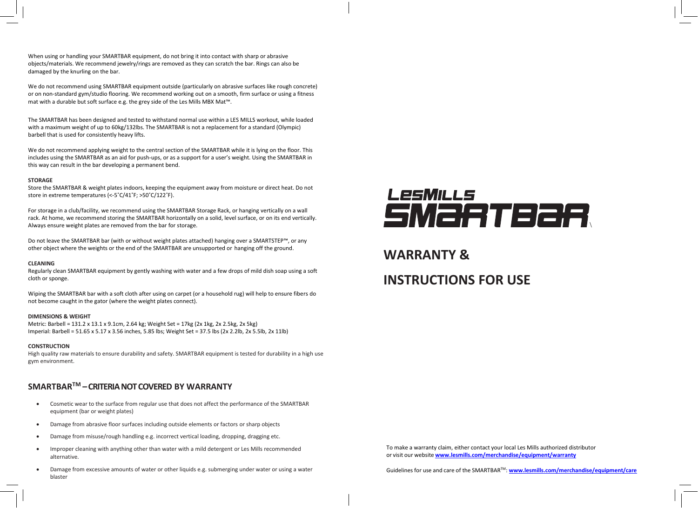When using or handling your SMARTBAR equipment, do not bring it into contact with sharp or abrasive objects/materials. We recommend jewelry/rings are removed as they can scratch the bar. Rings can also be damaged by the knurling on the bar.

We do not recommend using SMARTBAR equipment outside (particularly on abrasive surfaces like rough concrete) or on non-standard gym/studio flooring. We recommend working out on a smooth, firm surface or using a fitness mat with a durable but soft surface e.g. the grey side of the Les Mills MBX Mat™.

The SMARTBAR has been designed and tested to withstand normal use within a LES MILLS workout, while loaded with a maximum weight of up to 60kg/132lbs. The SMARTBAR is not a replacement for a standard (Olympic) barbell that is used for consistently heavy lifts.

We do not recommend applying weight to the central section of the SMARTBAR while it is lying on the floor. This includes using the SMARTBAR as an aid for push-ups, or as a support for a user's weight. Using the SMARTBAR in this way can result in the bar developing a permanent bend.

## **STORAGE**

Store the SMARTBAR & weight plates indoors, keeping the equipment away from moisture or direct heat. Do not store in extreme temperatures (<-5˚C/41˚F; >50˚C/122˚F).

For storage in a club/facility, we recommend using the SMARTBAR Storage Rack, or hanging vertically on a wall rack. At home, we recommend storing the SMARTBAR horizontally on a solid, level surface, or on its end vertically. Always ensure weight plates are removed from the bar for storage.

Do not leave the SMARTBAR bar (with or without weight plates attached) hanging over a SMARTSTEP™, or any other object where the weights or the end of the SMARTBAR are unsupported or hanging off the ground.

## **CLEANING**

Regularly clean SMARTBAR equipment by gently washing with water and a few drops of mild dish soap using a soft cloth or sponge.

Wiping the SMARTBAR bar with a soft cloth after using on carpet (or a household rug) will help to ensure fibers do not become caught in the gator (where the weight plates connect).

## **DIMENSIONS & WEIGHT**

Metric: Barbell = 131.2 x 13.1 x 9.1cm, 2.64 kg; Weight Set = 17kg (2x 1kg, 2x 2.5kg, 2x 5kg) Imperial: Barbell = 51.65 x 5.17 x 3.56 inches, 5.85 lbs; Weight Set = 37.5 lbs (2x 2.2lb, 2x 5.5lb, 2x 11lb)

## **CONSTRUCTION**

High quality raw materials to ensure durability and safety. SMARTBAR equipment is tested for durability in a high use gym environment.

## **SMARTBAR TM –CRITERIA NOT COVERED BY WARRANTY**

- Cosmetic wear to the surface from regular use that does not affect the performance of the SMARTBAR equipment (bar or weight plates)
- Damage from abrasive floor surfaces including outside elements or factors or sharp objects
- Damage from misuse/rough handling e.g. incorrect vertical loading, dropping, dragging etc.
- Improper cleaning with anything other than water with a mild detergent or Les Mills recommended alternative.
- Damage from excessive amounts of water or other liquids e.g. submerging under water or using a water blaster

# LesMills SMaRTBaR

## **WARRANTY &**

# **INSTRUCTIONS FOR USE**

To make a warranty claim, either contact your local Les Mills authorized distributor or visit our website **[www.lesmills.com/merchandise/equipment/warranty](http://www.lesmills.com/merchandise/equipment/warranty)**

Guidelines for use and care of the SMARTBAR™: **[www.lesmills.com/merchandise/equipment/care](http://www.lesmills.com/merchandise/equipment/care)**